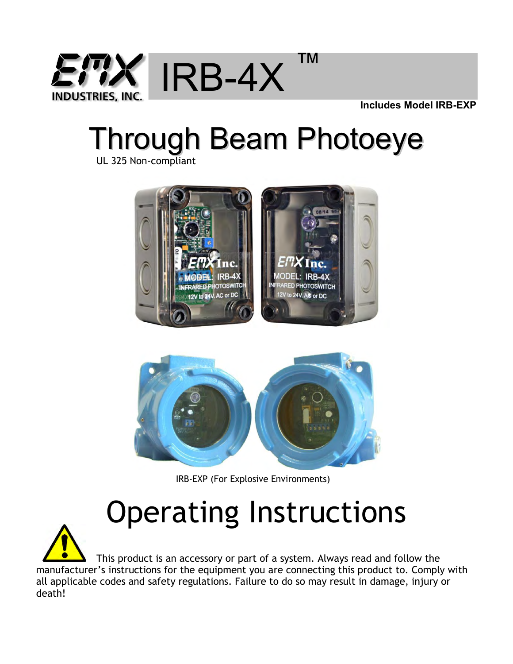

 **Includes Model IRB-EXP**

# Through Beam Photoeye

UL 325 Non-compliant





IRB-EXP (For Explosive Environments)

# Operating Instructions

 This product is an accessory or part of a system. Always read and follow the manufacturer's instructions for the equipment you are connecting this product to. Comply with all applicable codes and safety regulations. Failure to do so may result in damage, injury or death!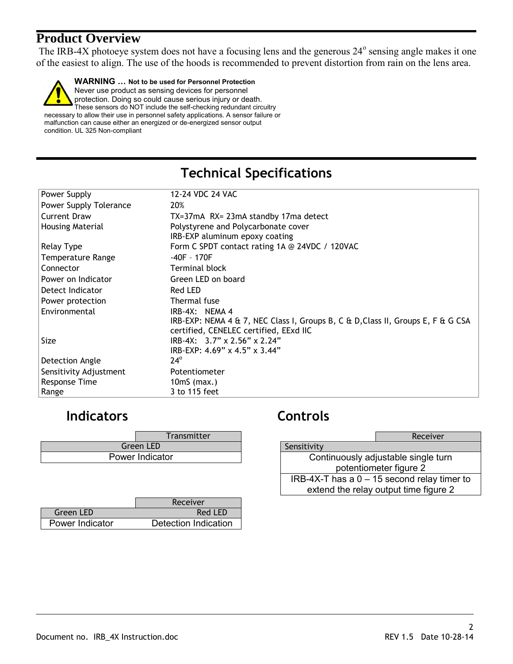#### **Product Overview**

The IRB-4X photoeye system does not have a focusing lens and the generous  $24^{\circ}$  sensing angle makes it one of the easiest to align. The use of the hoods is recommended to prevent distortion from rain on the lens area.

**WARNING … Not to be used for Personnel Protection** Never use product as sensing devices for personnel protection. Doing so could cause serious injury or death. These sensors do NOT include the self-checking redundant circuitry necessary to allow their use in personnel safety applications. A sensor failure or malfunction can cause either an energized or de-energized sensor output condition. UL 325 Non-compliant

#### **Technical Specifications**

| Power Supply           | 12-24 VDC 24 VAC                                                                 |  |
|------------------------|----------------------------------------------------------------------------------|--|
|                        |                                                                                  |  |
| Power Supply Tolerance | 20%                                                                              |  |
| <b>Current Draw</b>    | TX=37mA RX= 23mA standby 17ma detect                                             |  |
| Housing Material       | Polystyrene and Polycarbonate cover                                              |  |
|                        | IRB-EXP aluminum epoxy coating                                                   |  |
| Relay Type             | Form C SPDT contact rating 1A @ 24VDC / 120VAC                                   |  |
| Temperature Range      | -40F - 170F                                                                      |  |
| Connector              | <b>Terminal block</b>                                                            |  |
| Power on Indicator     | Green LED on board                                                               |  |
| Detect Indicator       | Red LED                                                                          |  |
| Power protection       | Thermal fuse                                                                     |  |
| Environmental          | $IRB-4X$ : NEMA 4                                                                |  |
|                        | IRB-EXP: NEMA 4 & 7, NEC Class I, Groups B, C & D, Class II, Groups E, F & G CSA |  |
|                        | certified, CENELEC certified, EExd IIC                                           |  |
| Size                   | IRB-4X: $3.7" \times 2.56" \times 2.24"$                                         |  |
|                        | IRB-EXP: 4.69" x 4.5" x 3.44"                                                    |  |
| Detection Angle        | $24^\circ$                                                                       |  |
| Sensitivity Adjustment | Potentiometer                                                                    |  |
| Response Time          | $10mS$ (max.)                                                                    |  |
| Range                  | 3 to 115 feet                                                                    |  |

#### **Indicators Controls**

|                  | <b>Transmitter</b> |
|------------------|--------------------|
| <b>Green LED</b> |                    |
| Power Indicator  |                    |

|                 | Receiver             |
|-----------------|----------------------|
| Green LED       | Red LED              |
| Power Indicator | Detection Indication |

|                                     | Receiver                                      |
|-------------------------------------|-----------------------------------------------|
| Sensitivity                         |                                               |
| Continuously adjustable single turn |                                               |
| potentiometer figure 2              |                                               |
|                                     | IRB-4X-T has a $0 - 15$ second relay timer to |
|                                     | extend the relay output time figure 2         |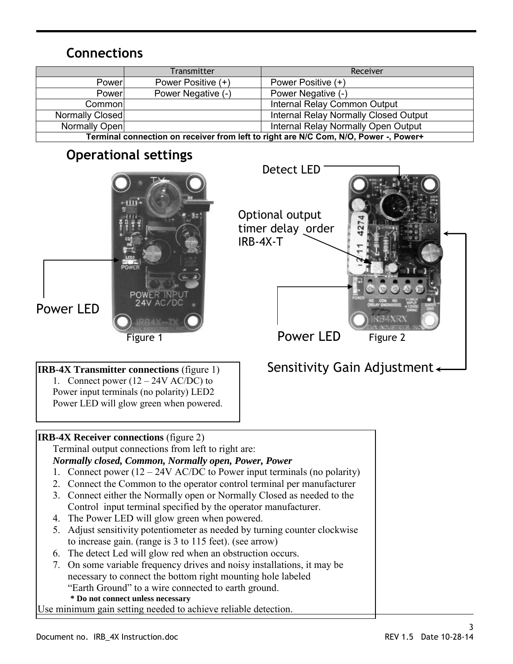#### **Connections**

|                                                                                      | Transmitter        | Receiver                                     |
|--------------------------------------------------------------------------------------|--------------------|----------------------------------------------|
| Power                                                                                | Power Positive (+) | Power Positive (+)                           |
| Power                                                                                | Power Negative (-) | Power Negative (-)                           |
| Common                                                                               |                    | Internal Relay Common Output                 |
| Normally Closed                                                                      |                    | <b>Internal Relay Normally Closed Output</b> |
| Normally Open                                                                        |                    | Internal Relay Normally Open Output          |
| Terminal connection on receiver from left to right are N/C Com, N/O, Power -, Power+ |                    |                                              |

#### **Operational settings**



**IRB-4X Transmitter connections** (figure 1) 1. Connect power  $(12 – 24V AC/DC)$  to Power input terminals (no polarity) LED2 Power LED will glow green when powered.

## Optional output timer delay order IRB-4X-T

Detect LED

### Sensitivity Gain Adjustment

| <b>IRB-4X Receiver connections (figure 2)</b>                              |  |
|----------------------------------------------------------------------------|--|
| Terminal output connections from left to right are:                        |  |
| <b>Normally closed, Common, Normally open, Power, Power</b>                |  |
| 1. Connect power $(12 – 24V AC/DC)$ to Power input terminals (no polarity) |  |
| 2. Connect the Common to the operator control terminal per manufacturer    |  |
| 3. Connect either the Normally open or Normally Closed as needed to the    |  |
| Control input terminal specified by the operator manufacturer.             |  |
| 4. The Power LED will glow green when powered.                             |  |
| 5. Adjust sensitivity potentiometer as needed by turning counter clockwise |  |
| to increase gain. (range is 3 to 115 feet). (see arrow)                    |  |
| 6. The detect Led will glow red when an obstruction occurs.                |  |
| 7. On some variable frequency drives and noisy installations, it may be    |  |
| necessary to connect the bottom right mounting hole labeled                |  |
| "Earth Ground" to a wire connected to earth ground.                        |  |
| * Do not connect unless necessary                                          |  |
| Use minimum gain setting needed to achieve reliable detection.             |  |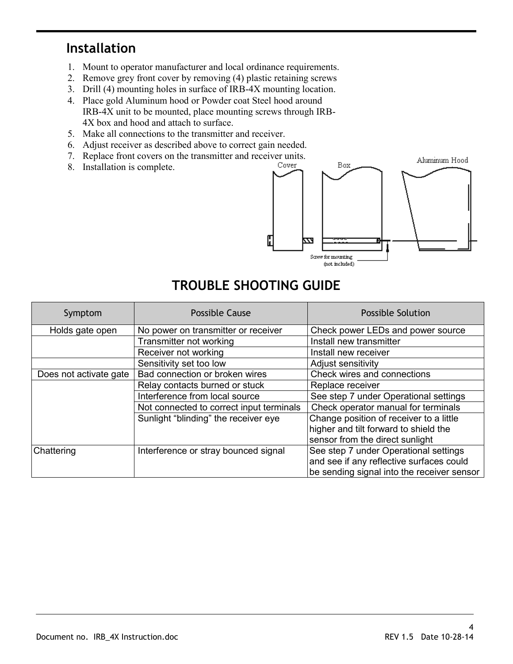#### **Installation**

- 1. Mount to operator manufacturer and local ordinance requirements.
- 2. Remove grey front cover by removing (4) plastic retaining screws
- 3. Drill (4) mounting holes in surface of IRB-4X mounting location.
- 4. Place gold Aluminum hood or Powder coat Steel hood around IRB-4X unit to be mounted, place mounting screws through IRB-4X box and hood and attach to surface.
- 5. Make all connections to the transmitter and receiver.
- 6. Adjust receiver as described above to correct gain needed.
- 7. Replace front covers on the transmitter and receiver units.<br>8. Installation is complete
- 8. Installation is complete.



### **TROUBLE SHOOTING GUIDE**

| Symptom                | Possible Cause                           | <b>Possible Solution</b>                   |
|------------------------|------------------------------------------|--------------------------------------------|
| Holds gate open        | No power on transmitter or receiver      | Check power LEDs and power source          |
|                        | Transmitter not working                  | Install new transmitter                    |
|                        | Receiver not working                     | Install new receiver                       |
|                        | Sensitivity set too low                  | Adjust sensitivity                         |
| Does not activate gate | Bad connection or broken wires           | Check wires and connections                |
|                        | Relay contacts burned or stuck           | Replace receiver                           |
|                        | Interference from local source           | See step 7 under Operational settings      |
|                        | Not connected to correct input terminals | Check operator manual for terminals        |
|                        | Sunlight "blinding" the receiver eye     | Change position of receiver to a little    |
|                        |                                          | higher and tilt forward to shield the      |
|                        |                                          | sensor from the direct sunlight            |
| Chattering             | Interference or stray bounced signal     | See step 7 under Operational settings      |
|                        |                                          | and see if any reflective surfaces could   |
|                        |                                          | be sending signal into the receiver sensor |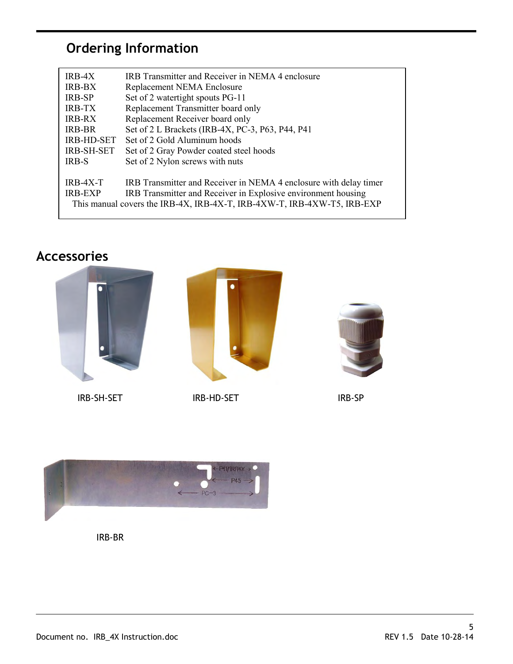### **Ordering Information**

| $IRB-4X$                                                                | IRB Transmitter and Receiver in NEMA 4 enclosure                  |  |
|-------------------------------------------------------------------------|-------------------------------------------------------------------|--|
| <b>IRB-BX</b>                                                           | Replacement NEMA Enclosure                                        |  |
| <b>IRB-SP</b>                                                           | Set of 2 watertight spouts PG-11                                  |  |
| <b>IRB-TX</b>                                                           | Replacement Transmitter board only                                |  |
| <b>IRB-RX</b>                                                           | Replacement Receiver board only                                   |  |
| IRB-BR                                                                  | Set of 2 L Brackets (IRB-4X, PC-3, P63, P44, P41)                 |  |
| <b>IRB-HD-SET</b>                                                       | Set of 2 Gold Aluminum hoods                                      |  |
| <b>IRB-SH-SET</b>                                                       | Set of 2 Gray Powder coated steel hoods                           |  |
| <b>IRB-S</b>                                                            | Set of 2 Nylon screws with nuts                                   |  |
|                                                                         |                                                                   |  |
| $IRB-4X-T$                                                              | IRB Transmitter and Receiver in NEMA 4 enclosure with delay timer |  |
| <b>IRB-EXP</b>                                                          | IRB Transmitter and Receiver in Explosive environment housing     |  |
| This manual covers the IRB-4X, IRB-4X-T, IRB-4XW-T, IRB-4XW-T5, IRB-EXP |                                                                   |  |

### **Accessories**





IRB-SH-SET IRB-HD-SET IRB-HD-SET IRB-SP



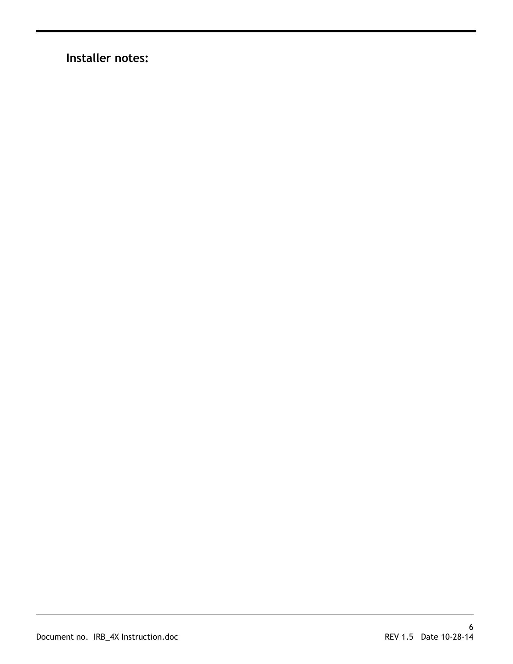**Installer notes:**